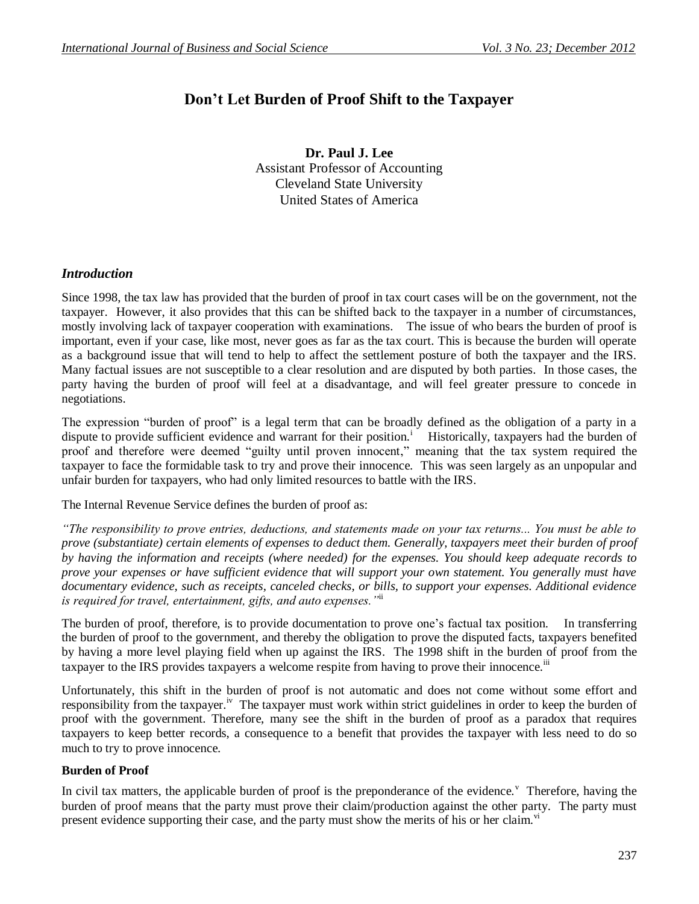# **Don't Let Burden of Proof Shift to the Taxpayer**

**Dr. Paul J. Lee** Assistant Professor of Accounting Cleveland State University United States of America

## *Introduction*

Since 1998, the tax law has provided that the burden of proof in tax court cases will be on the government, not the taxpayer. However, it also provides that this can be shifted back to the taxpayer in a number of circumstances, mostly involving lack of taxpayer cooperation with examinations. The issue of who bears the burden of proof is important, even if your case, like most, never goes as far as the tax court. This is because the burden will operate as a background issue that will tend to help to affect the settlement posture of both the taxpayer and the IRS. Many factual issues are not susceptible to a clear resolution and are disputed by both parties. In those cases, the party having the burden of proof will feel at a disadvantage, and will feel greater pressure to concede in negotiations.

The expression "burden of proof" is a legal term that can be broadly defined as the obligation of a party in a dispute to provide sufficient evidence and warrant for their position.<sup>1</sup> Historically, taxpayers had the burden of proof and therefore were deemed "guilty until proven innocent," meaning that the tax system required the taxpayer to face the formidable task to try and prove their innocence. This was seen largely as an unpopular and unfair burden for taxpayers, who had only limited resources to battle with the IRS.

The Internal Revenue Service defines the burden of proof as:

*"The responsibility to prove entries, deductions, and statements made on your tax returns... You must be able to prove (substantiate) certain elements of expenses to deduct them. Generally, taxpayers meet their burden of proof by having the information and receipts (where needed) for the expenses. You should keep adequate records to prove your expenses or have sufficient evidence that will support your own statement. You generally must have documentary evidence, such as receipts, canceled checks, or bills, to support your expenses. Additional evidence is required for travel, entertainment, gifts, and auto expenses."*ii

The burden of proof, therefore, is to provide documentation to prove one's factual tax position. In transferring the burden of proof to the government, and thereby the obligation to prove the disputed facts, taxpayers benefited by having a more level playing field when up against the IRS. The 1998 shift in the burden of proof from the taxpayer to the IRS provides taxpayers a welcome respite from having to prove their innocence.<sup>iii</sup>

Unfortunately, this shift in the burden of proof is not automatic and does not come without some effort and responsibility from the taxpayer.<sup>iv</sup> The taxpayer must work within strict guidelines in order to keep the burden of proof with the government. Therefore, many see the shift in the burden of proof as a paradox that requires taxpayers to keep better records, a consequence to a benefit that provides the taxpayer with less need to do so much to try to prove innocence.

## **Burden of Proof**

In civil tax matters, the applicable burden of proof is the preponderance of the evidence.<sup>V</sup> Therefore, having the burden of proof means that the party must prove their claim/production against the other party. The party must present evidence supporting their case, and the party must show the merits of his or her claim.<sup>vi</sup>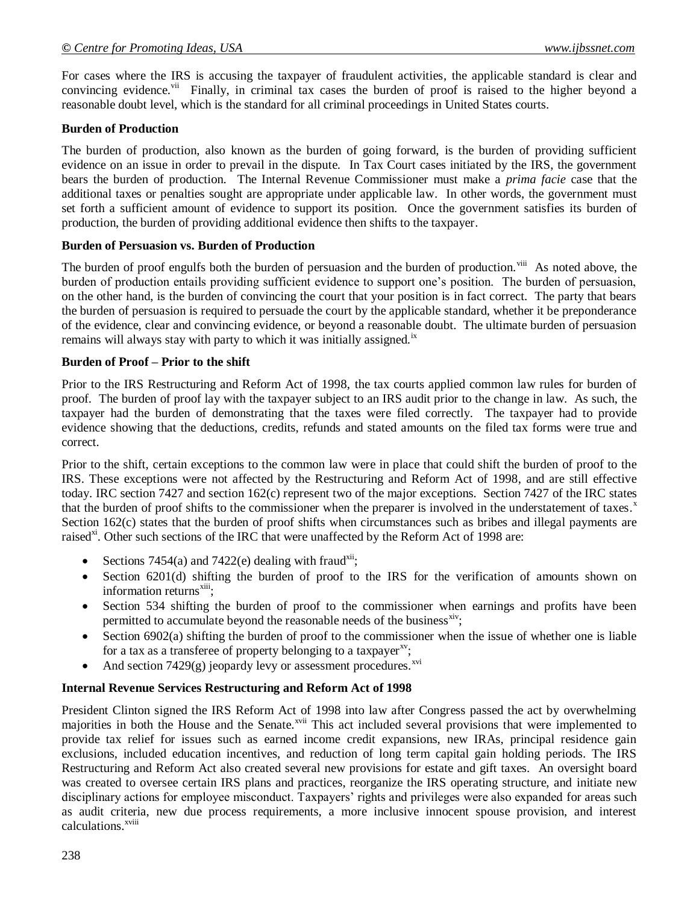For cases where the IRS is accusing the taxpayer of fraudulent activities, the applicable standard is clear and convincing evidence.<sup>vii</sup> Finally, in criminal tax cases the burden of proof is raised to the higher beyond a reasonable doubt level, which is the standard for all criminal proceedings in United States courts.

## **Burden of Production**

The burden of production, also known as the burden of going forward, is the burden of providing sufficient evidence on an issue in order to prevail in the dispute. In Tax Court cases initiated by the IRS, the government bears the burden of production. The Internal Revenue Commissioner must make a *prima facie* case that the additional taxes or penalties sought are appropriate under applicable law. In other words, the government must set forth a sufficient amount of evidence to support its position. Once the government satisfies its burden of production, the burden of providing additional evidence then shifts to the taxpayer.

### **Burden of Persuasion vs. Burden of Production**

The burden of proof engulfs both the burden of persuasion and the burden of production.<sup>viii</sup> As noted above, the burden of production entails providing sufficient evidence to support one's position. The burden of persuasion, on the other hand, is the burden of convincing the court that your position is in fact correct. The party that bears the burden of persuasion is required to persuade the court by the applicable standard, whether it be preponderance of the evidence, clear and convincing evidence, or beyond a reasonable doubt. The ultimate burden of persuasion remains will always stay with party to which it was initially assigned.<sup>ix</sup>

#### **Burden of Proof – Prior to the shift**

Prior to the IRS Restructuring and Reform Act of 1998, the tax courts applied common law rules for burden of proof. The burden of proof lay with the taxpayer subject to an IRS audit prior to the change in law. As such, the taxpayer had the burden of demonstrating that the taxes were filed correctly. The taxpayer had to provide evidence showing that the deductions, credits, refunds and stated amounts on the filed tax forms were true and correct.

Prior to the shift, certain exceptions to the common law were in place that could shift the burden of proof to the IRS. These exceptions were not affected by the Restructuring and Reform Act of 1998, and are still effective today. IRC section 7427 and section 162(c) represent two of the major exceptions. Section 7427 of the IRC states that the burden of proof shifts to the commissioner when the preparer is involved in the understatement of taxes.<sup>x</sup> Section 162(c) states that the burden of proof shifts when circumstances such as bribes and illegal payments are raised<sup>xi</sup>. Other such sections of the IRC that were unaffected by the Reform Act of 1998 are:

- Sections 7454(a) and 7422(e) dealing with fraud<sup>xii</sup>;
- Section 6201(d) shifting the burden of proof to the IRS for the verification of amounts shown on information returns<sup>xiii</sup>;
- Section 534 shifting the burden of proof to the commissioner when earnings and profits have been permitted to accumulate beyond the reasonable needs of the business<sup>xiv</sup>;
- Section  $6902(a)$  shifting the burden of proof to the commissioner when the issue of whether one is liable for a tax as a transferee of property belonging to a taxpayer $\mathrm{X}^{\mathrm{X}^{\mathrm{V}}};$
- And section  $7429(g)$  jeopardy levy or assessment procedures.<sup>xvi</sup>

## **Internal Revenue Services Restructuring and Reform Act of 1998**

President Clinton signed the IRS Reform Act of 1998 into law after Congress passed the act by overwhelming majorities in both the House and the Senate.<sup>xvii</sup> This act included several provisions that were implemented to provide tax relief for issues such as earned income credit expansions, new IRAs, principal residence gain exclusions, included education incentives, and reduction of long term capital gain holding periods. The IRS Restructuring and Reform Act also created several new provisions for estate and gift taxes. An oversight board was created to oversee certain IRS plans and practices, reorganize the IRS operating structure, and initiate new disciplinary actions for employee misconduct. Taxpayers' rights and privileges were also expanded for areas such as audit criteria, new due process requirements, a more inclusive innocent spouse provision, and interest calculations.<sup>xviii</sup>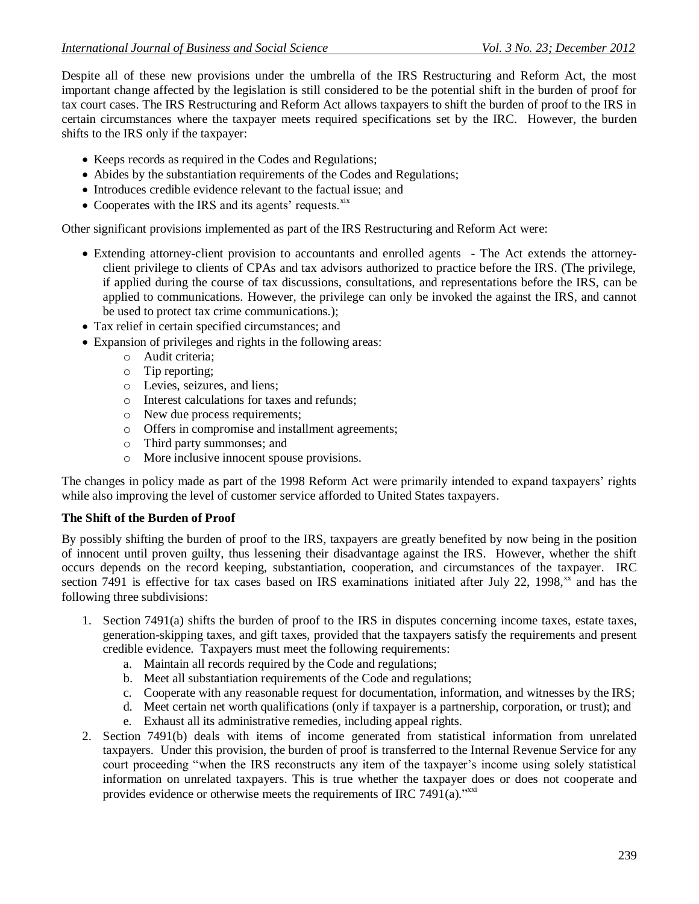Despite all of these new provisions under the umbrella of the IRS Restructuring and Reform Act, the most important change affected by the legislation is still considered to be the potential shift in the burden of proof for tax court cases. The IRS Restructuring and Reform Act allows taxpayers to shift the burden of proof to the IRS in certain circumstances where the taxpayer meets required specifications set by the IRC. However, the burden shifts to the IRS only if the taxpayer:

- Keeps records as required in the Codes and Regulations;
- Abides by the substantiation requirements of the Codes and Regulations;
- Introduces credible evidence relevant to the factual issue; and
- Cooperates with the IRS and its agents' requests. $x$ ix

Other significant provisions implemented as part of the IRS Restructuring and Reform Act were:

- Extending attorney-client provision to accountants and enrolled agents The Act extends the attorneyclient privilege to clients of CPAs and tax advisors authorized to practice before the IRS. (The privilege, if applied during the course of tax discussions, consultations, and representations before the IRS, can be applied to communications. However, the privilege can only be invoked the against the IRS, and cannot be used to protect tax crime communications.);
- Tax relief in certain specified circumstances; and
- Expansion of privileges and rights in the following areas:
	- o Audit criteria;
	- o Tip reporting;
	- o Levies, seizures, and liens;
	- o Interest calculations for taxes and refunds;
	- o New due process requirements;
	- o Offers in compromise and installment agreements;
	- o Third party summonses; and
	- o More inclusive innocent spouse provisions.

The changes in policy made as part of the 1998 Reform Act were primarily intended to expand taxpayers' rights while also improving the level of customer service afforded to United States taxpayers.

# **The Shift of the Burden of Proof**

By possibly shifting the burden of proof to the IRS, taxpayers are greatly benefited by now being in the position of innocent until proven guilty, thus lessening their disadvantage against the IRS. However, whether the shift occurs depends on the record keeping, substantiation, cooperation, and circumstances of the taxpayer. IRC section 7491 is effective for tax cases based on IRS examinations initiated after July 22, 1998,<sup>xx</sup> and has the following three subdivisions:

- 1. Section 7491(a) shifts the burden of proof to the IRS in disputes concerning income taxes, estate taxes, generation-skipping taxes, and gift taxes, provided that the taxpayers satisfy the requirements and present credible evidence. Taxpayers must meet the following requirements:
	- a. Maintain all records required by the Code and regulations;
	- b. Meet all substantiation requirements of the Code and regulations;
	- c. Cooperate with any reasonable request for documentation, information, and witnesses by the IRS;
	- d. Meet certain net worth qualifications (only if taxpayer is a partnership, corporation, or trust); and
	- e. Exhaust all its administrative remedies, including appeal rights.
- 2. Section 7491(b) deals with items of income generated from statistical information from unrelated taxpayers. Under this provision, the burden of proof is transferred to the Internal Revenue Service for any court proceeding "when the IRS reconstructs any item of the taxpayer's income using solely statistical information on unrelated taxpayers. This is true whether the taxpayer does or does not cooperate and provides evidence or otherwise meets the requirements of IRC 7491 $(a)$ ."xxi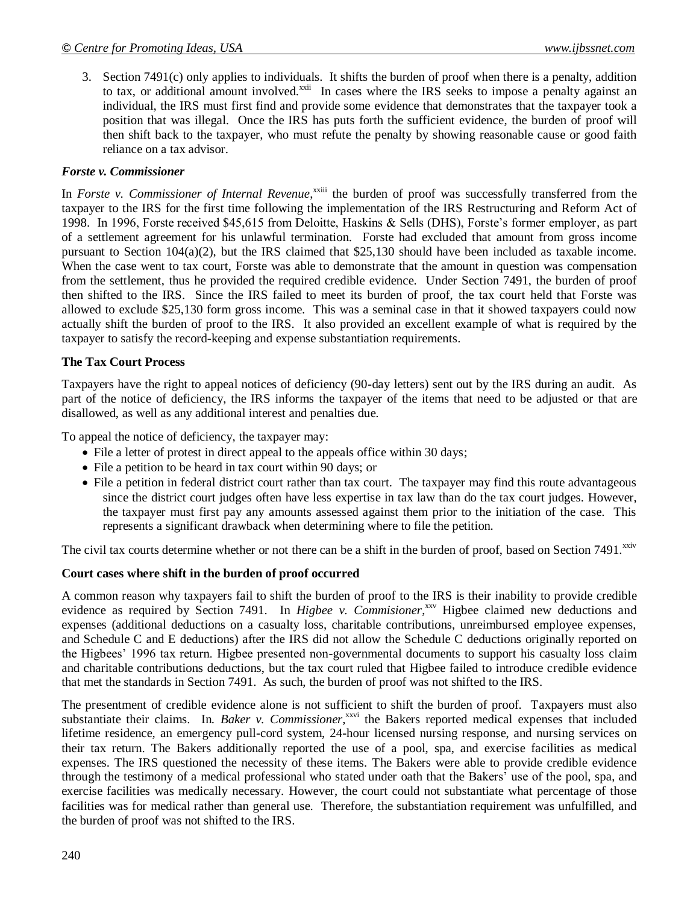3. Section 7491(c) only applies to individuals. It shifts the burden of proof when there is a penalty, addition to tax, or additional amount involved. $^{xxii}$  In cases where the IRS seeks to impose a penalty against an individual, the IRS must first find and provide some evidence that demonstrates that the taxpayer took a position that was illegal. Once the IRS has puts forth the sufficient evidence, the burden of proof will then shift back to the taxpayer, who must refute the penalty by showing reasonable cause or good faith reliance on a tax advisor.

#### *Forste v. Commissioner*

In *Forste v. Commissioner of Internal Revenue*,<sup>xxiii</sup> the burden of proof was successfully transferred from the taxpayer to the IRS for the first time following the implementation of the IRS Restructuring and Reform Act of 1998. In 1996, Forste received \$45,615 from Deloitte, Haskins & Sells (DHS), Forste's former employer, as part of a settlement agreement for his unlawful termination. Forste had excluded that amount from gross income pursuant to Section 104(a)(2), but the IRS claimed that \$25,130 should have been included as taxable income. When the case went to tax court, Forste was able to demonstrate that the amount in question was compensation from the settlement, thus he provided the required credible evidence. Under Section 7491, the burden of proof then shifted to the IRS. Since the IRS failed to meet its burden of proof, the tax court held that Forste was allowed to exclude \$25,130 form gross income. This was a seminal case in that it showed taxpayers could now actually shift the burden of proof to the IRS. It also provided an excellent example of what is required by the taxpayer to satisfy the record-keeping and expense substantiation requirements.

#### **The Tax Court Process**

Taxpayers have the right to appeal notices of deficiency (90-day letters) sent out by the IRS during an audit. As part of the notice of deficiency, the IRS informs the taxpayer of the items that need to be adjusted or that are disallowed, as well as any additional interest and penalties due.

To appeal the notice of deficiency, the taxpayer may:

- File a letter of protest in direct appeal to the appeals office within 30 days;
- File a petition to be heard in tax court within 90 days; or
- File a petition in federal district court rather than tax court. The taxpayer may find this route advantageous since the district court judges often have less expertise in tax law than do the tax court judges. However, the taxpayer must first pay any amounts assessed against them prior to the initiation of the case. This represents a significant drawback when determining where to file the petition.

The civil tax courts determine whether or not there can be a shift in the burden of proof, based on Section 7491.<sup>xxiv</sup>

#### **Court cases where shift in the burden of proof occurred**

A common reason why taxpayers fail to shift the burden of proof to the IRS is their inability to provide credible evidence as required by Section 7491. In *Higbee v. Commisioner*,<sup>xxv</sup> Higbee claimed new deductions and expenses (additional deductions on a casualty loss, charitable contributions, unreimbursed employee expenses, and Schedule C and E deductions) after the IRS did not allow the Schedule C deductions originally reported on the Higbees' 1996 tax return. Higbee presented non-governmental documents to support his casualty loss claim and charitable contributions deductions, but the tax court ruled that Higbee failed to introduce credible evidence that met the standards in Section 7491. As such, the burden of proof was not shifted to the IRS.

The presentment of credible evidence alone is not sufficient to shift the burden of proof. Taxpayers must also substantiate their claims. In. Baker v. Commissioner,<sup>xxvi</sup> the Bakers reported medical expenses that included lifetime residence, an emergency pull-cord system, 24-hour licensed nursing response, and nursing services on their tax return. The Bakers additionally reported the use of a pool, spa, and exercise facilities as medical expenses. The IRS questioned the necessity of these items. The Bakers were able to provide credible evidence through the testimony of a medical professional who stated under oath that the Bakers' use of the pool, spa, and exercise facilities was medically necessary. However, the court could not substantiate what percentage of those facilities was for medical rather than general use. Therefore, the substantiation requirement was unfulfilled, and the burden of proof was not shifted to the IRS.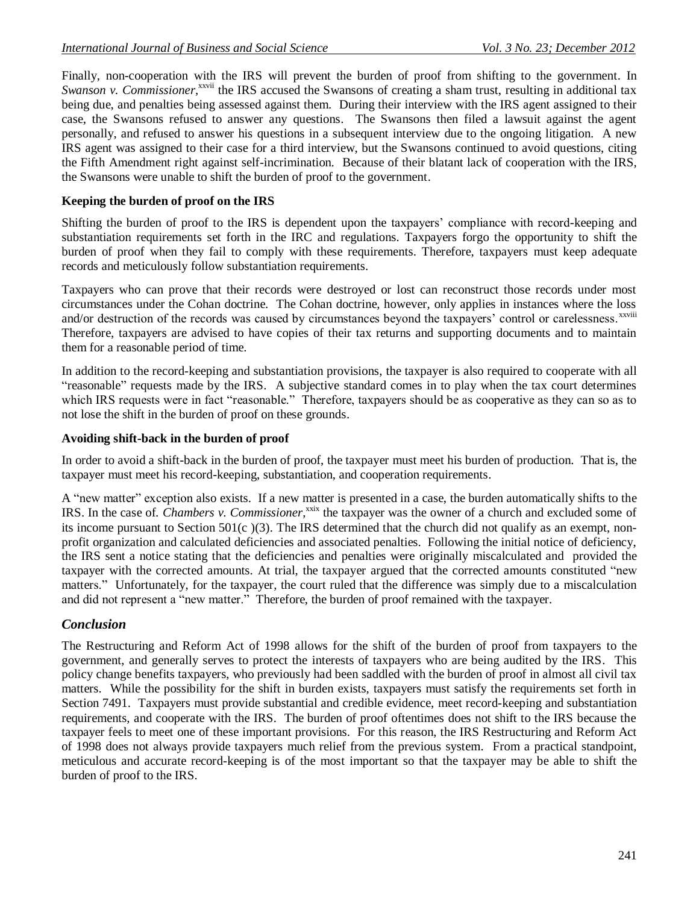Finally, non-cooperation with the IRS will prevent the burden of proof from shifting to the government. In Swanson v. Commissioner,<sup>xxvii</sup> the IRS accused the Swansons of creating a sham trust, resulting in additional tax being due, and penalties being assessed against them. During their interview with the IRS agent assigned to their case, the Swansons refused to answer any questions. The Swansons then filed a lawsuit against the agent personally, and refused to answer his questions in a subsequent interview due to the ongoing litigation. A new IRS agent was assigned to their case for a third interview, but the Swansons continued to avoid questions, citing the Fifth Amendment right against self-incrimination. Because of their blatant lack of cooperation with the IRS, the Swansons were unable to shift the burden of proof to the government.

## **Keeping the burden of proof on the IRS**

Shifting the burden of proof to the IRS is dependent upon the taxpayers' compliance with record-keeping and substantiation requirements set forth in the IRC and regulations. Taxpayers forgo the opportunity to shift the burden of proof when they fail to comply with these requirements. Therefore, taxpayers must keep adequate records and meticulously follow substantiation requirements.

Taxpayers who can prove that their records were destroyed or lost can reconstruct those records under most circumstances under the Cohan doctrine. The Cohan doctrine, however, only applies in instances where the loss and/or destruction of the records was caused by circumstances beyond the taxpayers' control or carelessness.<sup>xxviii</sup> Therefore, taxpayers are advised to have copies of their tax returns and supporting documents and to maintain them for a reasonable period of time.

In addition to the record-keeping and substantiation provisions, the taxpayer is also required to cooperate with all "reasonable" requests made by the IRS. A subjective standard comes in to play when the tax court determines which IRS requests were in fact "reasonable." Therefore, taxpayers should be as cooperative as they can so as to not lose the shift in the burden of proof on these grounds.

#### **Avoiding shift-back in the burden of proof**

In order to avoid a shift-back in the burden of proof, the taxpayer must meet his burden of production. That is, the taxpayer must meet his record-keeping, substantiation, and cooperation requirements.

A "new matter" exception also exists. If a new matter is presented in a case, the burden automatically shifts to the IRS. In the case of. *Chambers v. Commissioner*,<sup>xxix</sup> the taxpayer was the owner of a church and excluded some of its income pursuant to Section 501(c )(3). The IRS determined that the church did not qualify as an exempt, nonprofit organization and calculated deficiencies and associated penalties. Following the initial notice of deficiency, the IRS sent a notice stating that the deficiencies and penalties were originally miscalculated and provided the taxpayer with the corrected amounts. At trial, the taxpayer argued that the corrected amounts constituted "new matters." Unfortunately, for the taxpayer, the court ruled that the difference was simply due to a miscalculation and did not represent a "new matter." Therefore, the burden of proof remained with the taxpayer.

## *Conclusion*

The Restructuring and Reform Act of 1998 allows for the shift of the burden of proof from taxpayers to the government, and generally serves to protect the interests of taxpayers who are being audited by the IRS. This policy change benefits taxpayers, who previously had been saddled with the burden of proof in almost all civil tax matters. While the possibility for the shift in burden exists, taxpayers must satisfy the requirements set forth in Section 7491. Taxpayers must provide substantial and credible evidence, meet record-keeping and substantiation requirements, and cooperate with the IRS. The burden of proof oftentimes does not shift to the IRS because the taxpayer feels to meet one of these important provisions. For this reason, the IRS Restructuring and Reform Act of 1998 does not always provide taxpayers much relief from the previous system. From a practical standpoint, meticulous and accurate record-keeping is of the most important so that the taxpayer may be able to shift the burden of proof to the IRS.